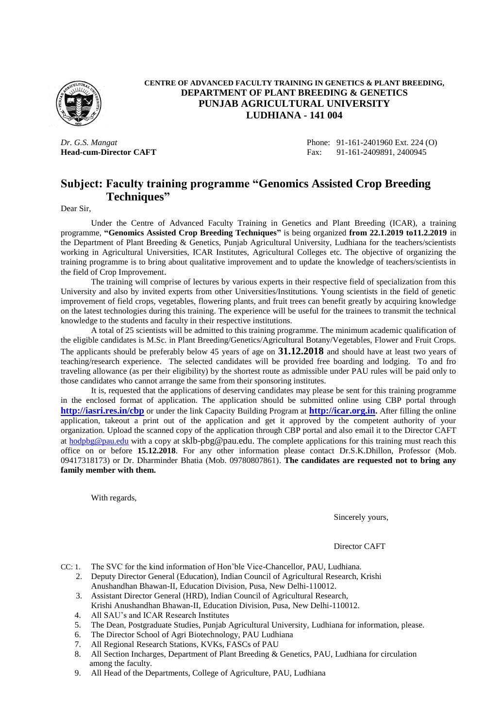

#### **CENTRE OF ADVANCED FACULTY TRAINING IN GENETICS & PLANT BREEDING, DEPARTMENT OF PLANT BREEDING & GENETICS PUNJAB AGRICULTURAL UNIVERSITY LUDHIANA - 141 004**

*Dr. G.S. Mangat* Phone: 91-161-2401960 Ext. 224 (O) **Head-cum-Director CAFT** Fax: 91-161-2409891, 2400945

### **Subject: Faculty training programme "Genomics Assisted Crop Breeding Techniques"**

Dear Sir,

Under the Centre of Advanced Faculty Training in Genetics and Plant Breeding (ICAR), a training programme, **"Genomics Assisted Crop Breeding Techniques"** is being organized **from 22.1.2019 to11.2.2019** in the Department of Plant Breeding & Genetics, Punjab Agricultural University, Ludhiana for the teachers/scientists working in Agricultural Universities, ICAR Institutes, Agricultural Colleges etc. The objective of organizing the training programme is to bring about qualitative improvement and to update the knowledge of teachers/scientists in the field of Crop Improvement.

The training will comprise of lectures by various experts in their respective field of specialization from this University and also by invited experts from other Universities/Institutions. Young scientists in the field of genetic improvement of field crops, vegetables, flowering plants, and fruit trees can benefit greatly by acquiring knowledge on the latest technologies during this training. The experience will be useful for the trainees to transmit the technical knowledge to the students and faculty in their respective institutions.

A total of 25 scientists will be admitted to this training programme. The minimum academic qualification of the eligible candidates is M.Sc. in Plant Breeding/Genetics/Agricultural Botany/Vegetables, Flower and Fruit Crops. The applicants should be preferably below 45 years of age on **31.12.2018** and should have at least two years of teaching/research experience. The selected candidates will be provided free boarding and lodging. To and fro traveling allowance (as per their eligibility) by the shortest route as admissible under PAU rules will be paid only to those candidates who cannot arrange the same from their sponsoring institutes.

It is, requested that the applications of deserving candidates may please be sent for this training programme in the enclosed format of application. The application should be submitted online using CBP portal through **<http://iasri.res.in/cbp>** or under the link Capacity Building Program at **[http://icar.org.in](http://icar.org.in/).** After filling the online application, takeout a print out of the application and get it approved by the competent authority of your organization. Upload the scanned copy of the application through CBP portal and also email it to the Director CAFT at [hodpbg@pau.edu](mailto:hodpbg@pau.edu) with a copy at sklb-pbg@pau.edu. The complete applications for this training must reach this office on or before **15.12.2018**. For any other information please contact Dr.S.K.Dhillon, Professor (Mob. 09417318173) or Dr. Dharminder Bhatia (Mob. 09780807861). **The candidates are requested not to bring any family member with them.**

With regards,

Sincerely yours,

Director CAFT

CC: 1. The SVC for the kind information of Hon'ble Vice-Chancellor, PAU, Ludhiana.

- 2. Deputy Director General (Education), Indian Council of Agricultural Research, Krishi Anushandhan Bhawan-II, Education Division, Pusa, New Delhi-110012.
- 3. Assistant Director General (HRD), Indian Council of Agricultural Research, Krishi Anushandhan Bhawan-II, Education Division, Pusa, New Delhi-110012.
- 4. All SAU's and ICAR Research Institutes
- 5. The Dean, Postgraduate Studies, Punjab Agricultural University, Ludhiana for information, please.
- 6. The Director School of Agri Biotechnology, PAU Ludhiana<br>7. All Regional Research Stations, KVKs, FASCs of PAU
- All Regional Research Stations, KVKs, FASCs of PAU
- 8. All Section Incharges, Department of Plant Breeding & Genetics, PAU, Ludhiana for circulation among the faculty.
- 9. All Head of the Departments, College of Agriculture, PAU, Ludhiana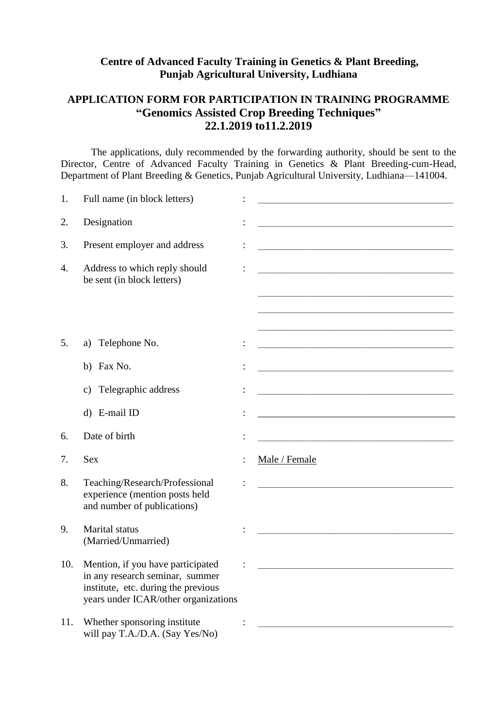### **Centre of Advanced Faculty Training in Genetics & Plant Breeding, Punjab Agricultural University, Ludhiana**

# **APPLICATION FORM FOR PARTICIPATION IN TRAINING PROGRAMME "Genomics Assisted Crop Breeding Techniques" 22.1.2019 to11.2.2019**

The applications, duly recommended by the forwarding authority, should be sent to the Director, Centre of Advanced Faculty Training in Genetics & Plant Breeding-cum-Head, Department of Plant Breeding & Genetics, Punjab Agricultural University, Ludhiana—141004.

| 1.  | Full name (in block letters)                                                                                   | <u> 1989 - Johann Harry Harry Harry Harry Harry Harry Harry Harry Harry Harry Harry Harry Harry Harry Harry Harry</u>  |
|-----|----------------------------------------------------------------------------------------------------------------|------------------------------------------------------------------------------------------------------------------------|
| 2.  | Designation                                                                                                    |                                                                                                                        |
| 3.  | Present employer and address                                                                                   | <u> 1989 - Johann Barn, mars ann an Catharin ann an t-Aonaichte ann an t-Aonaichte ann an t-Aonaichte ann an t-Ao</u>  |
| 4.  | Address to which reply should<br>be sent (in block letters)                                                    |                                                                                                                        |
|     |                                                                                                                |                                                                                                                        |
| 5.  | Telephone No.<br>a)                                                                                            | the control of the control of the control of the control of the control of the control of                              |
|     | b) Fax No.                                                                                                     | <u> 1989 - Johann Barn, mars ann an t-Amhain an t-Amhain ann an t-Amhain an t-Amhain an t-Amhain an t-Amhain an t-</u> |
|     | Telegraphic address<br>C)                                                                                      |                                                                                                                        |
|     | d) E-mail ID                                                                                                   |                                                                                                                        |
| 6.  | Date of birth                                                                                                  |                                                                                                                        |
| 7.  | <b>Sex</b>                                                                                                     | Male / Female                                                                                                          |
| 8.  | Teaching/Research/Professional<br>experience (mention posts held<br>and number of publications)                |                                                                                                                        |
| 9.  | Marital status<br>(Married/Unmarried)                                                                          |                                                                                                                        |
| 10. | Mention, if you have participated                                                                              |                                                                                                                        |
|     | in any research seminar, summer<br>institute, etc. during the previous<br>years under ICAR/other organizations |                                                                                                                        |